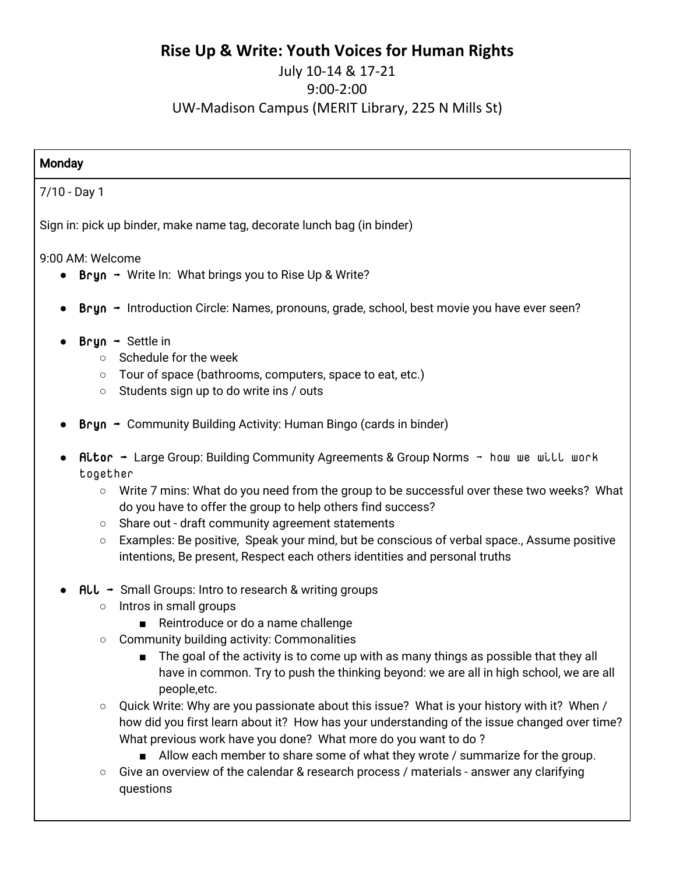# **Rise Up & Write: Youth Voices for Human Rights**

# July 10-14 & 17-21 9:00-2:00 UW-Madison Campus (MERIT Library, 225 N Mills St)

# **Monday** 7/10 - Day 1 Sign in: pick up binder, make name tag, decorate lunch bag (in binder)

9:00 AM: Welcome

- Bryn  $\rightarrow$  Write In: What brings you to Rise Up & Write?
- $Bryn \rightarrow Introduction Circle: Names, pronouns, grade, school, best movie you have ever seen?$
- $Bryn \rightarrow$  Settle in
	- $\circ$  Schedule for the week
	- Tour of space (bathrooms, computers, space to eat, etc.)
	- Students sign up to do write ins / outs
- **Bryn**  $\rightarrow$  **Community Building Activity: Human Bingo (cards in binder)**
- Aitor  $\rightarrow$  Large Group: Building Community Agreements & Group Norms  $\rightarrow$  how we will work together
	- Write 7 mins: What do you need from the group to be successful over these two weeks? What do you have to offer the group to help others find success?
	- Share out draft community agreement statements
	- Examples: Be positive, Speak your mind, but be conscious of verbal space., Assume positive intentions, Be present, Respect each others identities and personal truths
- $\mathsf{ALL} \rightarrow \mathsf{Small}$  Groups: Intro to research & writing groups
	- Intros in small groups
		- Reintroduce or do a name challenge
	- Community building activity: Commonalities
		- The goal of the activity is to come up with as many things as possible that they all have in common. Try to push the thinking beyond: we are all in high school, we are all people,etc.
	- $\circ$  Quick Write: Why are you passionate about this issue? What is your history with it? When / how did you first learn about it? How has your understanding of the issue changed over time? What previous work have you done? What more do you want to do ?
		- Allow each member to share some of what they wrote / summarize for the group.
	- $\circ$  Give an overview of the calendar & research process / materials answer any clarifying questions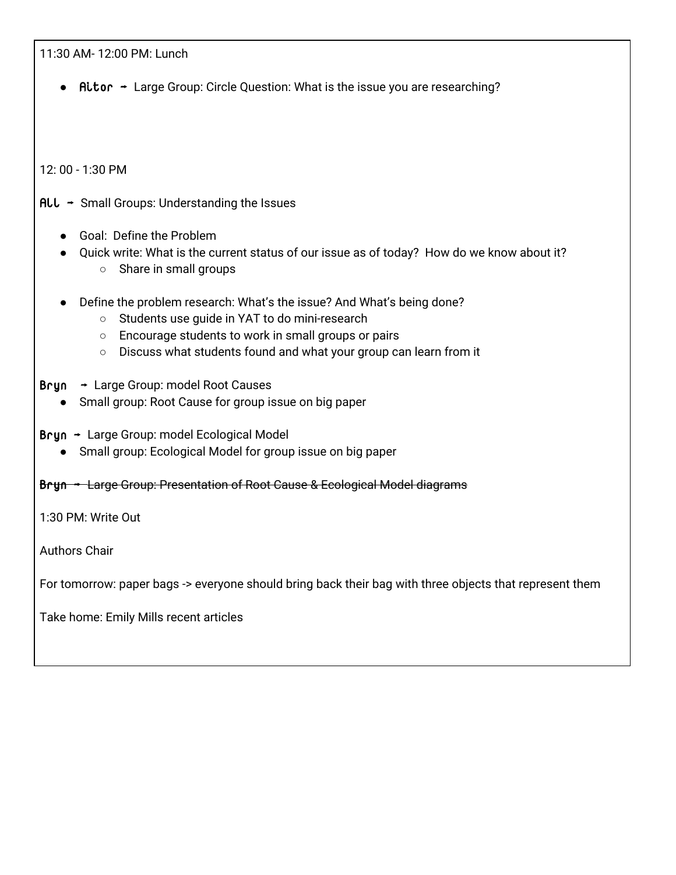11:30 AM- 12:00 PM: Lunch

Aitor  $\rightarrow$  Large Group: Circle Question: What is the issue you are researching?

12: 00 - 1:30 PM

 $ALL \rightarrow$  Small Groups: Understanding the Issues

- Goal: Define the Problem
- Quick write: What is the current status of our issue as of today? How do we know about it? ○ Share in small groups
- Define the problem research: What's the issue? And What's being done?
	- Students use guide in YAT to do mini-research
	- Encourage students to work in small groups or pairs
	- Discuss what students found and what your group can learn from it
- Bryn → Large Group: model Root Causes
	- Small group: Root Cause for group issue on big paper
- Bryn → Large Group: model Ecological Model
	- Small group: Ecological Model for group issue on big paper
- Bryn → Large Group: Presentation of Root Cause & Ecological Model diagrams

1:30 PM: Write Out

Authors Chair

For tomorrow: paper bags -> everyone should bring back their bag with three objects that represent them

Take home: Emily Mills recent articles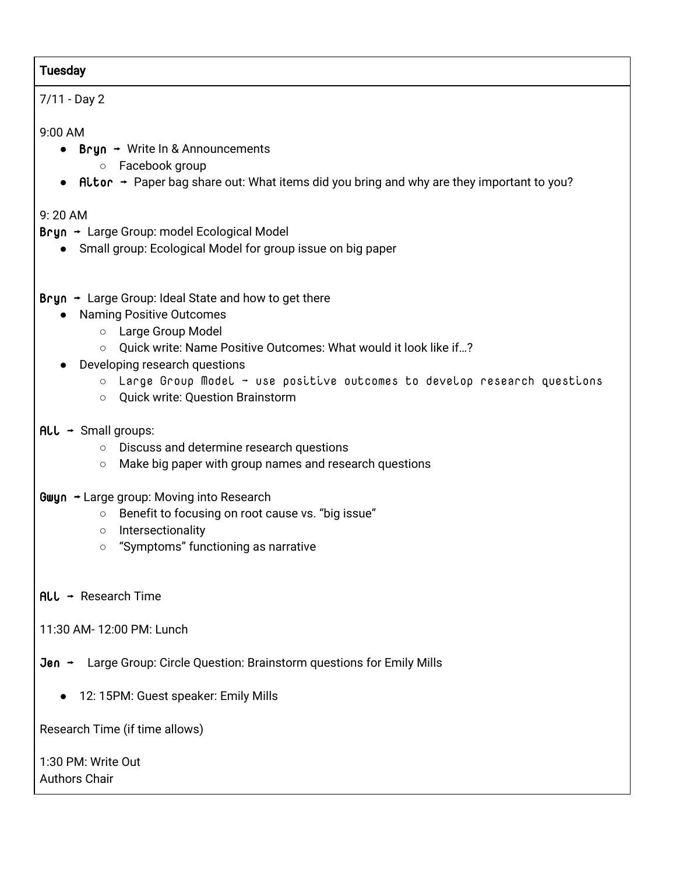## Tuesday

# 7/11 - Day 2

## 9:00 AM

- Bryn → Write In & Announcements
	- Facebook group
- Aitor  $\rightarrow$  Paper bag share out: What items did you bring and why are they important to you?

# 9: 20 AM

- Bryn → Large Group: model Ecological Model
	- Small group: Ecological Model for group issue on big paper
- Bryn  $\rightarrow$  Large Group: Ideal State and how to get there
	- Naming Positive Outcomes
		- Large Group Model
		- Quick write: Name Positive Outcomes: What would it look like if…?
	- **Developing research questions** 
		- $\circ$  Large Group Model use positive outcomes to develop research questions
		- Quick write: Question Brainstorm

# $ALL \rightarrow$  Small groups:

- Discuss and determine research questions
- Make big paper with group names and research questions
- Gwyn → Large group: Moving into Research
	- Benefit to focusing on root cause vs. "big issue"
	- Intersectionality
	- "Symptoms" functioning as narrative
- $ALL \rightarrow$  Research Time
- 11:30 AM- 12:00 PM: Lunch
- Jen → Large Group: Circle Question: Brainstorm questions for Emily Mills
	- 12: 15PM: Guest speaker: Emily Mills

Research Time (if time allows)

1:30 PM: Write Out Authors Chair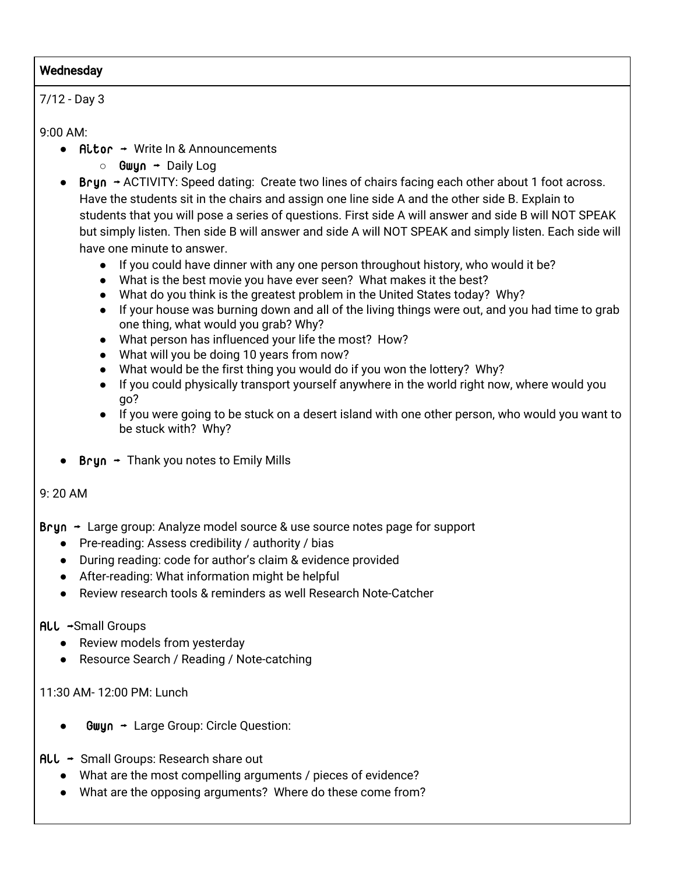#### **Wednesday**

#### 7/12 - Day 3

9:00 AM:

- $Hitor Write ln & Announcements$ 
	- **○** Gwyn → Daily Log
- Bryn  $\div$  ACTIVITY: Speed dating: Create two lines of chairs facing each other about 1 foot across. Have the students sit in the chairs and assign one line side A and the other side B. Explain to students that you will pose a series of questions. First side A will answer and side B will NOT SPEAK but simply listen. Then side B will answer and side A will NOT SPEAK and simply listen. Each side will have one minute to answer.
	- If you could have dinner with any one person throughout history, who would it be?
	- What is the best movie you have ever seen? What makes it the best?
	- What do you think is the greatest problem in the United States today? Why?
	- If your house was burning down and all of the living things were out, and you had time to grab one thing, what would you grab? Why?
	- What person has influenced your life the most? How?
	- What will you be doing 10 years from now?
	- What would be the first thing you would do if you won the lottery? Why?
	- If you could physically transport yourself anywhere in the world right now, where would you go?
	- If you were going to be stuck on a desert island with one other person, who would you want to be stuck with? Why?
- **Bryn**  $\rightarrow$  **Thank you notes to Emily Mills**

#### 9: 20 AM

 $Bryn \rightarrow$  Large group: Analyze model source & use source notes page for support

- Pre-reading: Assess credibility / authority / bias
- During reading: code for author's claim & evidence provided
- After-reading: What information might be helpful
- Review research tools & reminders as well Research Note-Catcher

#### All →Small Groups

- Review models from yesterday
- Resource Search / Reading / Note-catching

11:30 AM- 12:00 PM: Lunch

 $Gwyn \rightarrow Large Group: Circle Question:$ 

All → Small Groups: Research share out

- What are the most compelling arguments / pieces of evidence?
- What are the opposing arguments? Where do these come from?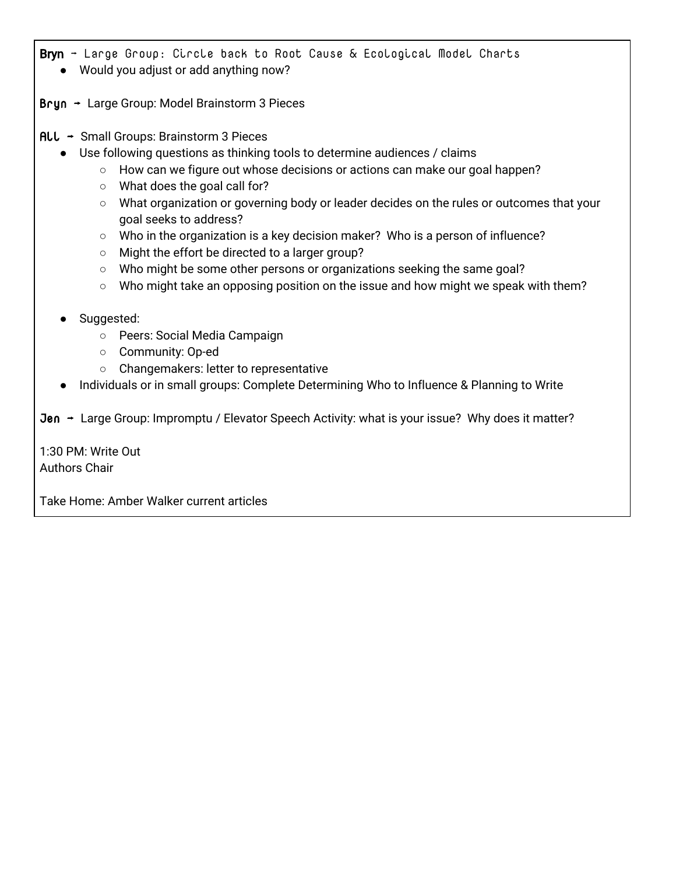- Bryn  $\rightarrow$  Large Group: Circle back to Root Cause & Ecological Model Charts
	- Would you adjust or add anything now?
- Bryn → Large Group: Model Brainstorm 3 Pieces
- All → Small Groups: Brainstorm 3 Pieces
	- Use following questions as thinking tools to determine audiences / claims
		- How can we figure out whose decisions or actions can make our goal happen?
		- What does the goal call for?
		- What organization or governing body or leader decides on the rules or outcomes that your goal seeks to address?
		- Who in the organization is a key decision maker? Who is a person of influence?
		- Might the effort be directed to a larger group?
		- Who might be some other persons or organizations seeking the same goal?
		- Who might take an opposing position on the issue and how might we speak with them?
	- Suggested:
		- Peers: Social Media Campaign
		- Community: Op-ed
		- Changemakers: letter to representative
	- Individuals or in small groups: Complete Determining Who to Influence & Planning to Write
- Jen → Large Group: Impromptu / Elevator Speech Activity: what is your issue? Why does it matter?

1:30 PM: Write Out Authors Chair

Take Home: Amber Walker current articles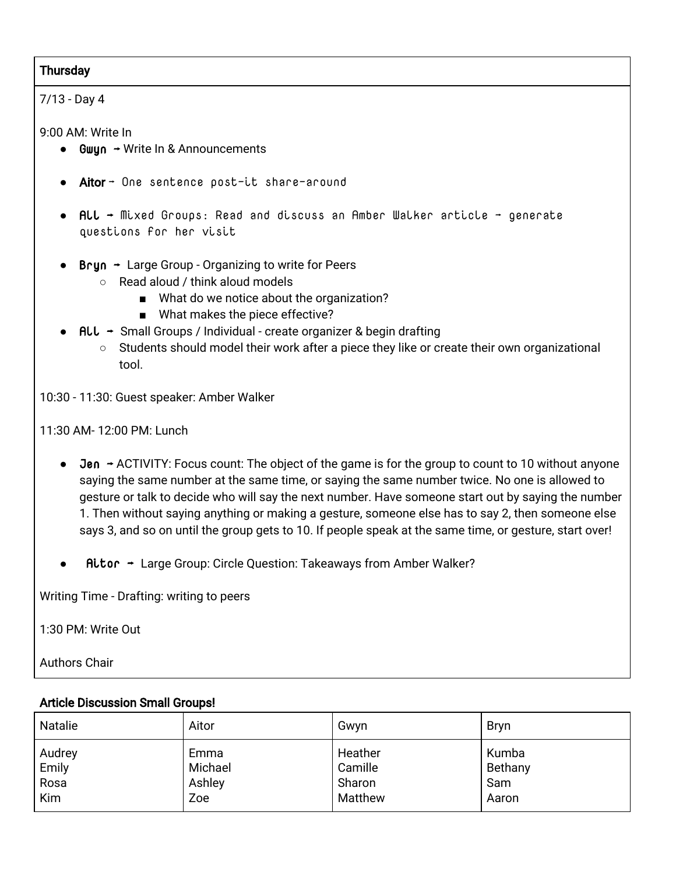#### **Thursday**

#### 7/13 - Day 4

9:00 AM: Write In

- $\bullet$  Gwun  $\rightarrow$  Write In & Announcements
- **Aitor →** One sentence post-it share-around
- All → Mixed Groups: Read and discuss an Amber Walker article → generate questions for her visit
- **Bryn**  $\rightarrow$  **Large Group Organizing to write for Peers** 
	- Read aloud / think aloud models
		- What do we notice about the organization?
		- What makes the piece effective?
- $\mathsf{ALL} \rightarrow \mathsf{Small}$  Groups / Individual create organizer & begin drafting
	- Students should model their work after a piece they like or create their own organizational tool.

10:30 - 11:30: Guest speaker: Amber Walker

11:30 AM- 12:00 PM: Lunch

- Jen → ACTIVITY: Focus count: The object of the game is for the group to count to 10 without anyone saying the same number at the same time, or saying the same number twice. No one is allowed to gesture or talk to decide who will say the next number. Have someone start out by saying the number 1. Then without saying anything or making a gesture, someone else has to say 2, then someone else says 3, and so on until the group gets to 10. If people speak at the same time, or gesture, start over!
- $\mathsf{R}$ itor  $\rightarrow$  Large Group: Circle Question: Takeaways from Amber Walker?

Writing Time - Drafting: writing to peers

1:30 PM: Write Out

Authors Chair

#### Article Discussion Small Groups!

| <b>Natalie</b> | Aitor   | Gwyn    | <b>Bryn</b> |
|----------------|---------|---------|-------------|
| Audrey         | Emma    | Heather | Kumba       |
| Emily          | Michael | Camille | Bethany     |
| Rosa           | Ashley  | Sharon  | Sam         |
| Kim            | Zoe     | Matthew | Aaron       |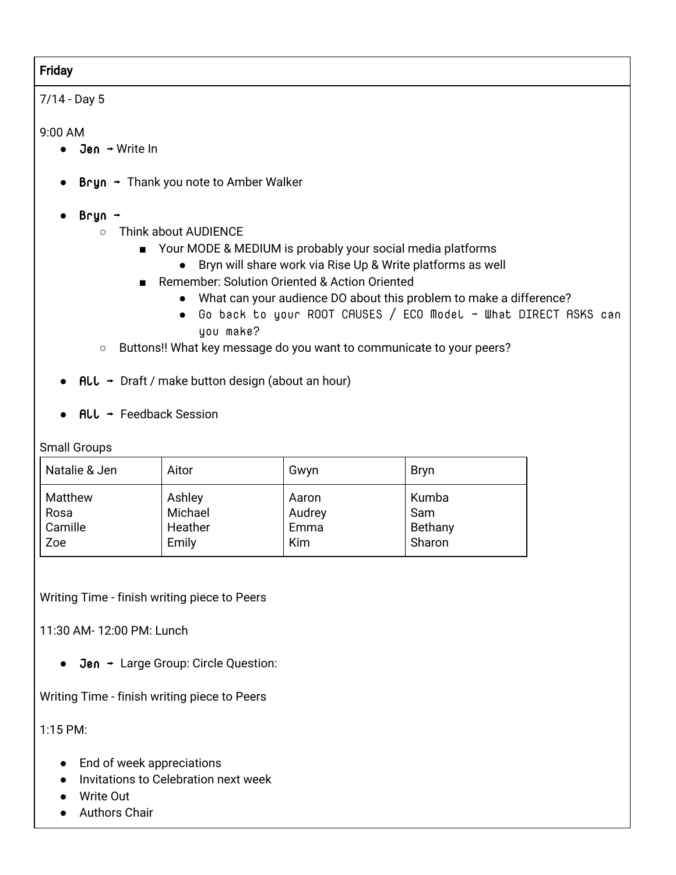# Friday

# 7/14 - Day 5

#### 9:00 AM

- $\bullet$  Jen  $\rightarrow$  Write In
- **Bryn**  $\rightarrow$  **Thank you note to Amber Walker**
- Bryn →
	- Think about AUDIENCE
		- Your MODE & MEDIUM is probably your social media platforms
			- Bryn will share work via Rise Up & Write platforms as well
		- Remember: Solution Oriented & Action Oriented
			- What can your audience DO about this problem to make a difference?
			- Go back to your ROOT CAUSES / ECO Model → What DIRECT ASKS can you make?
	- Buttons!! What key message do you want to communicate to your peers?
- **●** All → Draft / make button design (about an hour)
- $ALL$  + Feedback Session

Small Groups

| Natalie & Jen | Aitor   | Gwyn       | <b>Bryn</b> |
|---------------|---------|------------|-------------|
| Matthew       | Ashley  | Aaron      | Kumba       |
| Rosa          | Michael | Audrey     | Sam         |
| Camille       | Heather | Emma       | Bethany     |
| Zoe           | Emily   | <b>Kim</b> | Sharon      |

Writing Time - finish writing piece to Peers

11:30 AM- 12:00 PM: Lunch

● Jen → Large Group: Circle Question:

Writing Time - finish writing piece to Peers

1:15 PM:

- End of week appreciations
- Invitations to Celebration next week
- Write Out
- Authors Chair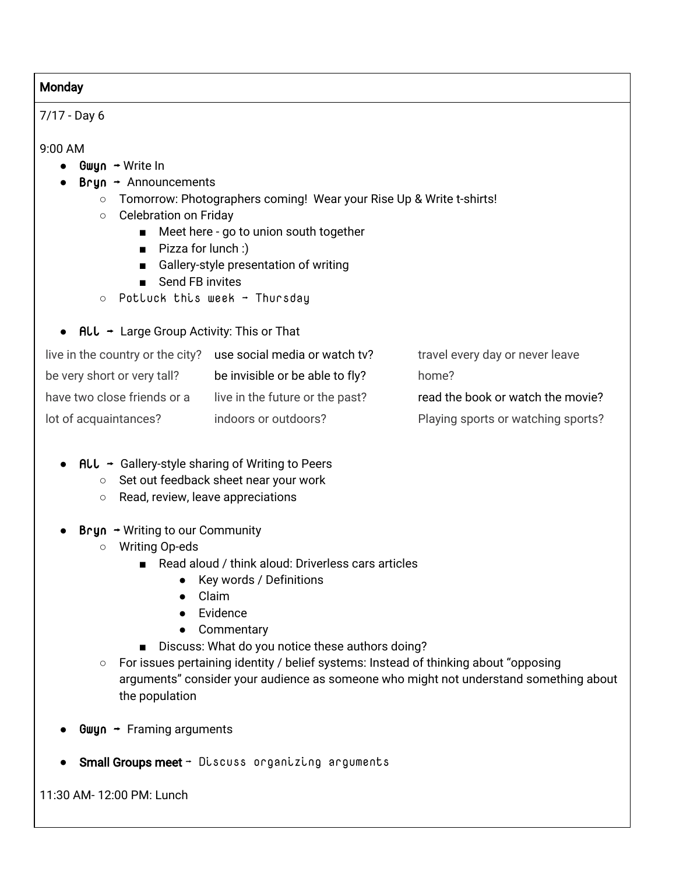#### **Monday**

7/17 - Day 6

9:00 AM

- $Gwyn \rightarrow Write In$
- $\bullet$  Bryn  $\rightarrow$  Announcements
	- Tomorrow: Photographers coming! Wear your Rise Up & Write t-shirts!
	- Celebration on Friday
		- Meet here go to union south together
		- Pizza for lunch :)
		- Gallery-style presentation of writing
		- Send FB invites
	- Potluck this week → Thursday
- ALL  $\rightarrow$  Large Group Activity: This or That

| live in the country or the city? | use social media or watch tv?   | travel every day or never leave    |
|----------------------------------|---------------------------------|------------------------------------|
| be very short or very tall?      | be invisible or be able to fly? | home?                              |
| have two close friends or a      | live in the future or the past? | read the book or watch the movie?  |
| lot of acquaintances?            | indoors or outdoors?            | Playing sports or watching sports? |

- $\mathsf{ALL} \rightarrow \mathsf{Gallery\text{-}style}$  sharing of Writing to Peers
	- Set out feedback sheet near your work
	- Read, review, leave appreciations
- **Bryn**  $\rightarrow$  Writing to our Community
	- Writing Op-eds
		- Read aloud / think aloud: Driverless cars articles
			- Key words / Definitions
			- Claim
			- Evidence
			- Commentary
		- Discuss: What do you notice these authors doing?
	- For issues pertaining identity / belief systems: Instead of thinking about "opposing arguments" consider your audience as someone who might not understand something about the population
- Gwyn  $\rightarrow$  Framing arguments
- **Small Groups meet**  $\rightarrow$  Discuss organizing arguments

11:30 AM- 12:00 PM: Lunch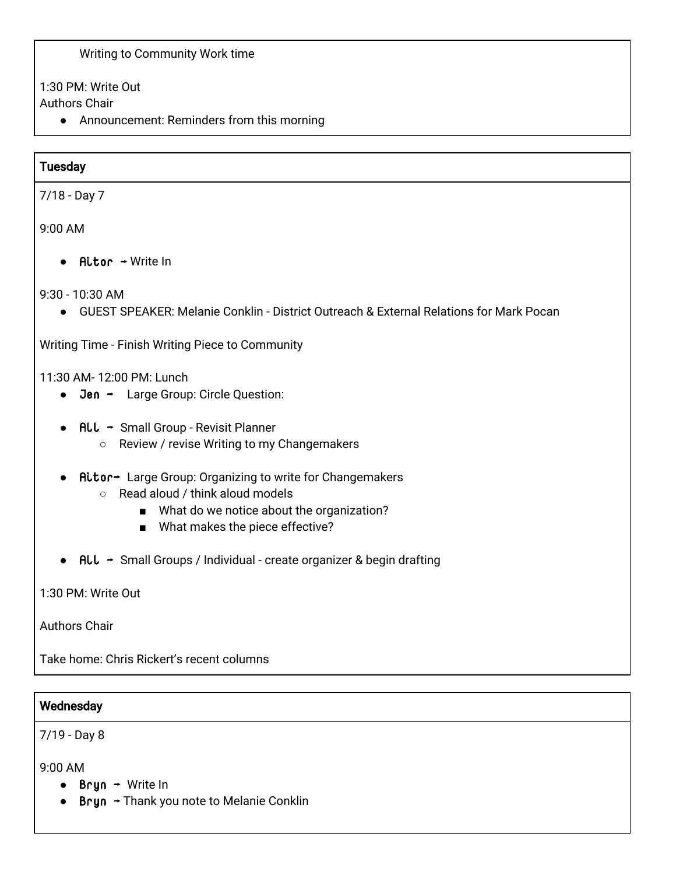#### Writing to Community Work time

1:30 PM: Write Out

Authors Chair

● Announcement: Reminders from this morning

#### **Tuesday**

7/18 - Day 7

9:00 AM

● Aitor → Write In

9:30 - 10:30 AM

● GUEST SPEAKER: Melanie Conklin - District Outreach & External Relations for Mark Pocan

Writing Time - Finish Writing Piece to Community

11:30 AM- 12:00 PM: Lunch

- Jen → Large Group: Circle Question:
- All → Small Group Revisit Planner
	- Review / revise Writing to my Changemakers
- Aitor→ Large Group: Organizing to write for Changemakers
	- Read aloud / think aloud models
		- What do we notice about the organization?
		- What makes the piece effective?
- ALL → Small Groups / Individual create organizer & begin drafting

1:30 PM: Write Out

Authors Chair

Take home: Chris Rickert's recent columns

#### **Wednesday**

7/19 - Day 8

9:00 AM

- $\bullet$  Bryn  $\rightarrow$  Write In
- $\bullet$  Bryn  $\rightarrow$  Thank you note to Melanie Conklin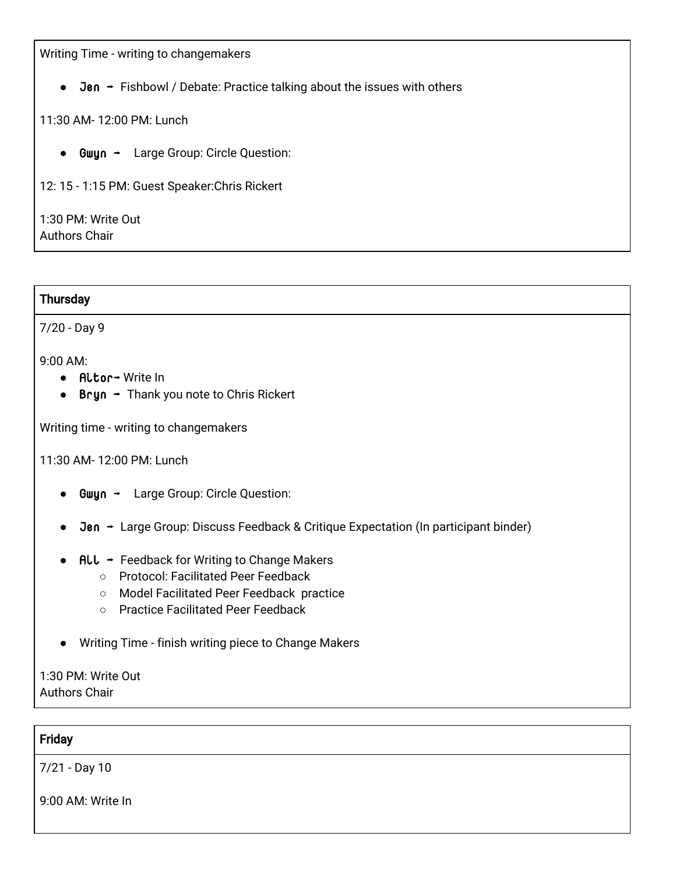Writing Time - writing to changemakers

 $\bullet$  Jen  $\rightarrow$  Fishbowl / Debate: Practice talking about the issues with others

#### 11:30 AM- 12:00 PM: Lunch

● Gwyn → Large Group: Circle Question:

12: 15 - 1:15 PM: Guest Speaker:Chris Rickert

1:30 PM: Write Out Authors Chair

#### **Thursday**

7/20 - Day 9

9:00 AM:

- Aitor→ Write In
- $\bullet$  Bryn  $\rightarrow$  Thank you note to Chris Rickert

Writing time - writing to changemakers

11:30 AM- 12:00 PM: Lunch

- Gwyn → Large Group: Circle Question:
- **Jen →** Large Group: Discuss Feedback & Critique Expectation (In participant binder)
- $\bullet$  ALL  $\rightarrow$  Feedback for Writing to Change Makers
	- Protocol: Facilitated Peer Feedback
	- Model Facilitated Peer Feedback practice
	- Practice Facilitated Peer Feedback
- Writing Time finish writing piece to Change Makers

1:30 PM: Write Out Authors Chair

#### Friday

7/21 - Day 10

9:00 AM: Write In